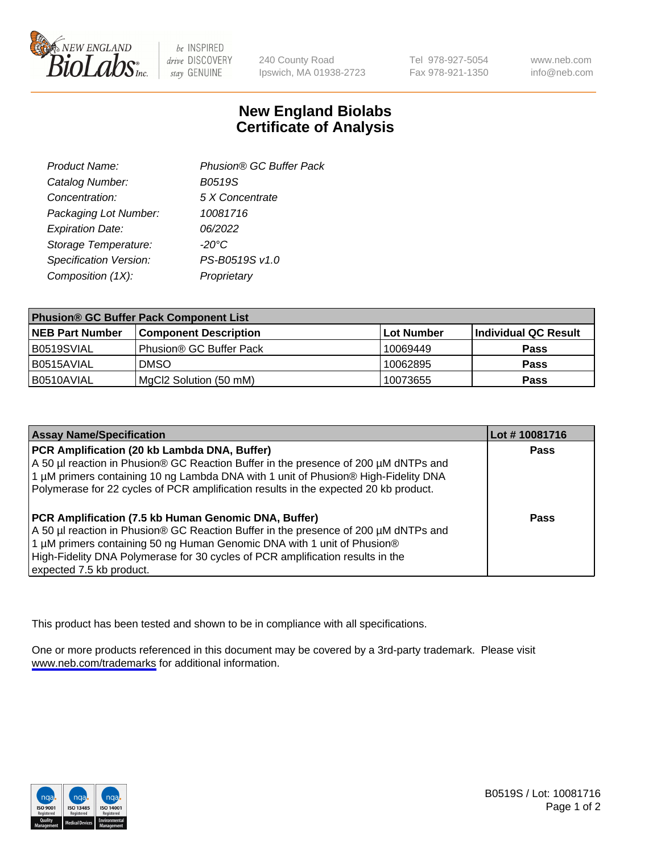

be INSPIRED drive DISCOVERY stay GENUINE

240 County Road Ipswich, MA 01938-2723 Tel 978-927-5054 Fax 978-921-1350

www.neb.com info@neb.com

## **New England Biolabs Certificate of Analysis**

| Product Name:           | Phusion® GC Buffer Pack |
|-------------------------|-------------------------|
| Catalog Number:         | B0519S                  |
| Concentration:          | 5 X Concentrate         |
| Packaging Lot Number:   | 10081716                |
| <b>Expiration Date:</b> | 06/2022                 |
| Storage Temperature:    | $-20^{\circ}$ C         |
| Specification Version:  | PS-B0519S v1.0          |
| Composition (1X):       | Proprietary             |
|                         |                         |

| <b>Phusion® GC Buffer Pack Component List</b> |                              |                   |                      |  |
|-----------------------------------------------|------------------------------|-------------------|----------------------|--|
| <b>NEB Part Number</b>                        | <b>Component Description</b> | <b>Lot Number</b> | Individual QC Result |  |
| B0519SVIAL                                    | Phusion® GC Buffer Pack      | 10069449          | <b>Pass</b>          |  |
| B0515AVIAL                                    | <b>DMSO</b>                  | 10062895          | <b>Pass</b>          |  |
| B0510AVIAL                                    | MgCl2 Solution (50 mM)       | 10073655          | <b>Pass</b>          |  |

| <b>Assay Name/Specification</b>                                                                                                                                                                                                                                                                                                      | Lot #10081716 |
|--------------------------------------------------------------------------------------------------------------------------------------------------------------------------------------------------------------------------------------------------------------------------------------------------------------------------------------|---------------|
| PCR Amplification (20 kb Lambda DNA, Buffer)<br>A 50 µl reaction in Phusion® GC Reaction Buffer in the presence of 200 µM dNTPs and<br>1 μM primers containing 10 ng Lambda DNA with 1 unit of Phusion® High-Fidelity DNA<br>Polymerase for 22 cycles of PCR amplification results in the expected 20 kb product.                    | <b>Pass</b>   |
| PCR Amplification (7.5 kb Human Genomic DNA, Buffer)<br>A 50 µl reaction in Phusion® GC Reaction Buffer in the presence of 200 µM dNTPs and<br>1 µM primers containing 50 ng Human Genomic DNA with 1 unit of Phusion®<br>High-Fidelity DNA Polymerase for 30 cycles of PCR amplification results in the<br>expected 7.5 kb product. | <b>Pass</b>   |

This product has been tested and shown to be in compliance with all specifications.

One or more products referenced in this document may be covered by a 3rd-party trademark. Please visit <www.neb.com/trademarks>for additional information.